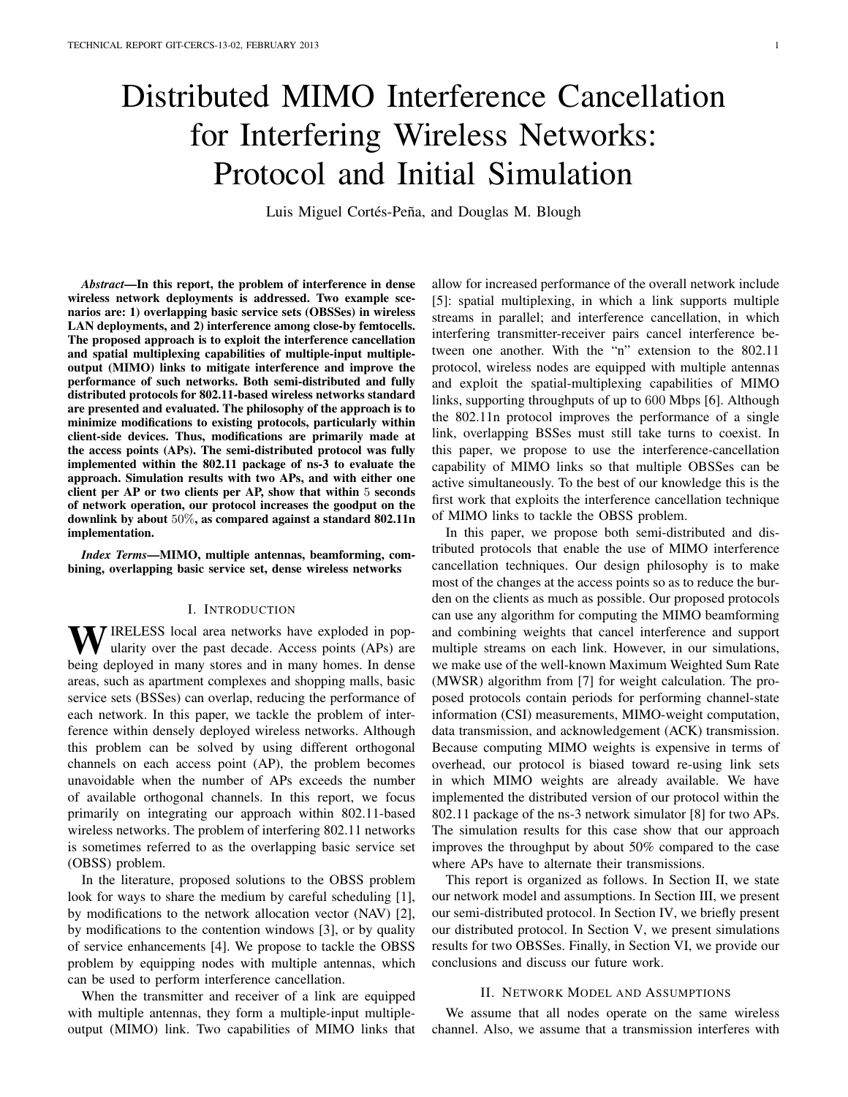# Distributed MIMO Interference Cancellation for Interfering Wireless Networks: Protocol and Initial Simulation

Luis Miguel Cortés-Peña, and Douglas M. Blough

*Abstract*—In this report, the problem of interference in dense wireless network deployments is addressed. Two example scenarios are: 1) overlapping basic service sets (OBSSes) in wireless LAN deployments, and 2) interference among close-by femtocells. The proposed approach is to exploit the interference cancellation and spatial multiplexing capabilities of multiple-input multipleoutput (MIMO) links to mitigate interference and improve the performance of such networks. Both semi-distributed and fully distributed protocols for 802.11-based wireless networks standard are presented and evaluated. The philosophy of the approach is to minimize modifications to existing protocols, particularly within client-side devices. Thus, modifications are primarily made at the access points (APs). The semi-distributed protocol was fully implemented within the 802.11 package of ns-3 to evaluate the approach. Simulation results with two APs, and with either one client per AP or two clients per AP, show that within 5 seconds of network operation, our protocol increases the goodput on the downlink by about 50%, as compared against a standard 802.11n implementation.

*Index Terms*—MIMO, multiple antennas, beamforming, combining, overlapping basic service set, dense wireless networks

## I. INTRODUCTION

WIRELESS local area networks have exploded in popularity over the past decade. Access points (APs) are being deployed in many stores and in many homes. In dense areas, such as apartment complexes and shopping malls, basic service sets (BSSes) can overlap, reducing the performance of each network. In this paper, we tackle the problem of interference within densely deployed wireless networks. Although this problem can be solved by using different orthogonal channels on each access point (AP), the problem becomes unavoidable when the number of APs exceeds the number of available orthogonal channels. In this report, we focus primarily on integrating our approach within 802.11-based wireless networks. The problem of interfering 802.11 networks is sometimes referred to as the overlapping basic service set (OBSS) problem.

In the literature, proposed solutions to the OBSS problem look for ways to share the medium by careful scheduling [1], by modifications to the network allocation vector (NAV) [2], by modifications to the contention windows [3], or by quality of service enhancements [4]. We propose to tackle the OBSS problem by equipping nodes with multiple antennas, which can be used to perform interference cancellation.

When the transmitter and receiver of a link are equipped with multiple antennas, they form a multiple-input multipleoutput (MIMO) link. Two capabilities of MIMO links that allow for increased performance of the overall network include [5]: spatial multiplexing, in which a link supports multiple streams in parallel; and interference cancellation, in which interfering transmitter-receiver pairs cancel interference between one another. With the "n" extension to the 802.11 protocol, wireless nodes are equipped with multiple antennas and exploit the spatial-multiplexing capabilities of MIMO links, supporting throughputs of up to 600 Mbps [6]. Although the 802.11n protocol improves the performance of a single link, overlapping BSSes must still take turns to coexist. In this paper, we propose to use the interference-cancellation capability of MIMO links so that multiple OBSSes can be active simultaneously. To the best of our knowledge this is the first work that exploits the interference cancellation technique of MIMO links to tackle the OBSS problem.

In this paper, we propose both semi-distributed and distributed protocols that enable the use of MIMO interference cancellation techniques. Our design philosophy is to make most of the changes at the access points so as to reduce the burden on the clients as much as possible. Our proposed protocols can use any algorithm for computing the MIMO beamforming and combining weights that cancel interference and support multiple streams on each link. However, in our simulations, we make use of the well-known Maximum Weighted Sum Rate (MWSR) algorithm from [7] for weight calculation. The proposed protocols contain periods for performing channel-state information (CSI) measurements, MIMO-weight computation, data transmission, and acknowledgement (ACK) transmission. Because computing MIMO weights is expensive in terms of overhead, our protocol is biased toward re-using link sets in which MIMO weights are already available. We have implemented the distributed version of our protocol within the 802.11 package of the ns-3 network simulator [8] for two APs. The simulation results for this case show that our approach improves the throughput by about 50% compared to the case where APs have to alternate their transmissions.

This report is organized as follows. In Section II, we state our network model and assumptions. In Section III, we present our semi-distributed protocol. In Section IV, we briefly present our distributed protocol. In Section V, we present simulations results for two OBSSes. Finally, in Section VI, we provide our conclusions and discuss our future work.

#### II. NETWORK MODEL AND ASSUMPTIONS

We assume that all nodes operate on the same wireless channel. Also, we assume that a transmission interferes with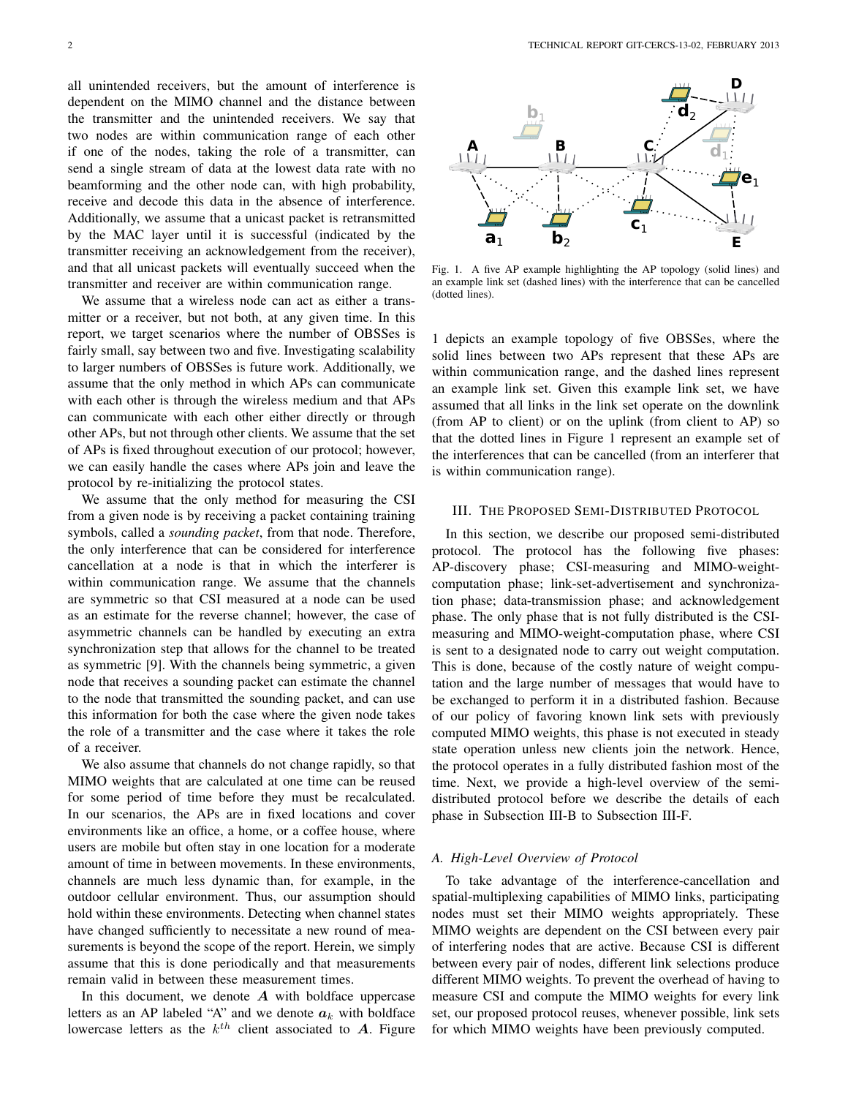all unintended receivers, but the amount of interference is dependent on the MIMO channel and the distance between the transmitter and the unintended receivers. We say that two nodes are within communication range of each other if one of the nodes, taking the role of a transmitter, can send a single stream of data at the lowest data rate with no beamforming and the other node can, with high probability, receive and decode this data in the absence of interference. Additionally, we assume that a unicast packet is retransmitted by the MAC layer until it is successful (indicated by the transmitter receiving an acknowledgement from the receiver), and that all unicast packets will eventually succeed when the transmitter and receiver are within communication range.

We assume that a wireless node can act as either a transmitter or a receiver, but not both, at any given time. In this report, we target scenarios where the number of OBSSes is fairly small, say between two and five. Investigating scalability to larger numbers of OBSSes is future work. Additionally, we assume that the only method in which APs can communicate with each other is through the wireless medium and that APs can communicate with each other either directly or through other APs, but not through other clients. We assume that the set of APs is fixed throughout execution of our protocol; however, we can easily handle the cases where APs join and leave the protocol by re-initializing the protocol states.

We assume that the only method for measuring the CSI from a given node is by receiving a packet containing training symbols, called a *sounding packet*, from that node. Therefore, the only interference that can be considered for interference cancellation at a node is that in which the interferer is within communication range. We assume that the channels are symmetric so that CSI measured at a node can be used as an estimate for the reverse channel; however, the case of asymmetric channels can be handled by executing an extra synchronization step that allows for the channel to be treated as symmetric [9]. With the channels being symmetric, a given node that receives a sounding packet can estimate the channel to the node that transmitted the sounding packet, and can use this information for both the case where the given node takes the role of a transmitter and the case where it takes the role of a receiver.

We also assume that channels do not change rapidly, so that MIMO weights that are calculated at one time can be reused for some period of time before they must be recalculated. In our scenarios, the APs are in fixed locations and cover environments like an office, a home, or a coffee house, where users are mobile but often stay in one location for a moderate amount of time in between movements. In these environments, channels are much less dynamic than, for example, in the outdoor cellular environment. Thus, our assumption should hold within these environments. Detecting when channel states have changed sufficiently to necessitate a new round of measurements is beyond the scope of the report. Herein, we simply assume that this is done periodically and that measurements remain valid in between these measurement times.

In this document, we denote  $A$  with boldface uppercase letters as an AP labeled "A" and we denote  $a_k$  with boldface lowercase letters as the  $k^{th}$  client associated to A. Figure



Fig. 1. A five AP example highlighting the AP topology (solid lines) and an example link set (dashed lines) with the interference that can be cancelled (dotted lines).

1 depicts an example topology of five OBSSes, where the solid lines between two APs represent that these APs are within communication range, and the dashed lines represent an example link set. Given this example link set, we have assumed that all links in the link set operate on the downlink (from AP to client) or on the uplink (from client to AP) so that the dotted lines in Figure 1 represent an example set of the interferences that can be cancelled (from an interferer that is within communication range).

## III. THE PROPOSED SEMI-DISTRIBUTED PROTOCOL

In this section, we describe our proposed semi-distributed protocol. The protocol has the following five phases: AP-discovery phase; CSI-measuring and MIMO-weightcomputation phase; link-set-advertisement and synchronization phase; data-transmission phase; and acknowledgement phase. The only phase that is not fully distributed is the CSImeasuring and MIMO-weight-computation phase, where CSI is sent to a designated node to carry out weight computation. This is done, because of the costly nature of weight computation and the large number of messages that would have to be exchanged to perform it in a distributed fashion. Because of our policy of favoring known link sets with previously computed MIMO weights, this phase is not executed in steady state operation unless new clients join the network. Hence, the protocol operates in a fully distributed fashion most of the time. Next, we provide a high-level overview of the semidistributed protocol before we describe the details of each phase in Subsection III-B to Subsection III-F.

## *A. High-Level Overview of Protocol*

To take advantage of the interference-cancellation and spatial-multiplexing capabilities of MIMO links, participating nodes must set their MIMO weights appropriately. These MIMO weights are dependent on the CSI between every pair of interfering nodes that are active. Because CSI is different between every pair of nodes, different link selections produce different MIMO weights. To prevent the overhead of having to measure CSI and compute the MIMO weights for every link set, our proposed protocol reuses, whenever possible, link sets for which MIMO weights have been previously computed.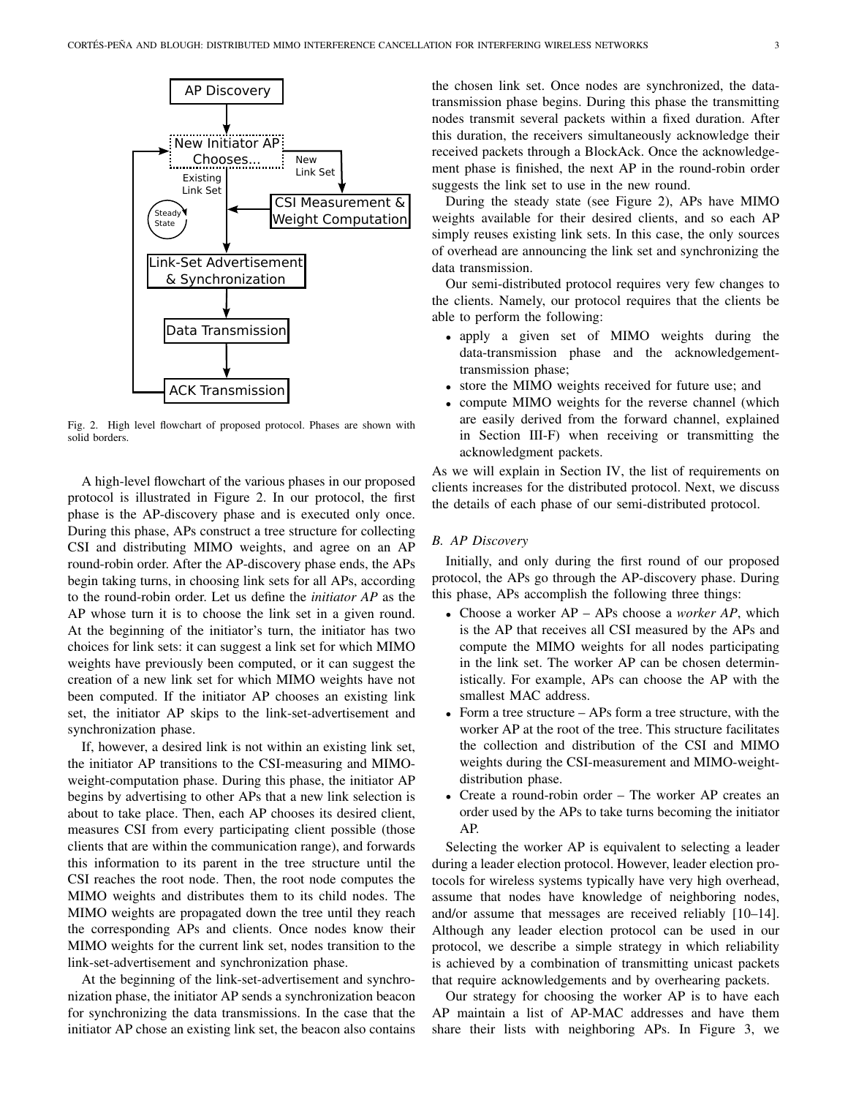

Fig. 2. High level flowchart of proposed protocol. Phases are shown with solid borders.

A high-level flowchart of the various phases in our proposed protocol is illustrated in Figure 2. In our protocol, the first phase is the AP-discovery phase and is executed only once. During this phase, APs construct a tree structure for collecting CSI and distributing MIMO weights, and agree on an AP round-robin order. After the AP-discovery phase ends, the APs begin taking turns, in choosing link sets for all APs, according to the round-robin order. Let us define the *initiator AP* as the AP whose turn it is to choose the link set in a given round. At the beginning of the initiator's turn, the initiator has two choices for link sets: it can suggest a link set for which MIMO weights have previously been computed, or it can suggest the creation of a new link set for which MIMO weights have not been computed. If the initiator AP chooses an existing link set, the initiator AP skips to the link-set-advertisement and synchronization phase.

If, however, a desired link is not within an existing link set, the initiator AP transitions to the CSI-measuring and MIMOweight-computation phase. During this phase, the initiator AP begins by advertising to other APs that a new link selection is about to take place. Then, each AP chooses its desired client, measures CSI from every participating client possible (those clients that are within the communication range), and forwards this information to its parent in the tree structure until the CSI reaches the root node. Then, the root node computes the MIMO weights and distributes them to its child nodes. The MIMO weights are propagated down the tree until they reach the corresponding APs and clients. Once nodes know their MIMO weights for the current link set, nodes transition to the link-set-advertisement and synchronization phase.

At the beginning of the link-set-advertisement and synchronization phase, the initiator AP sends a synchronization beacon for synchronizing the data transmissions. In the case that the initiator AP chose an existing link set, the beacon also contains the chosen link set. Once nodes are synchronized, the datatransmission phase begins. During this phase the transmitting nodes transmit several packets within a fixed duration. After this duration, the receivers simultaneously acknowledge their received packets through a BlockAck. Once the acknowledgement phase is finished, the next AP in the round-robin order suggests the link set to use in the new round.

During the steady state (see Figure 2), APs have MIMO weights available for their desired clients, and so each AP simply reuses existing link sets. In this case, the only sources of overhead are announcing the link set and synchronizing the data transmission.

Our semi-distributed protocol requires very few changes to the clients. Namely, our protocol requires that the clients be able to perform the following:

- apply a given set of MIMO weights during the data-transmission phase and the acknowledgementtransmission phase;
- store the MIMO weights received for future use; and
- compute MIMO weights for the reverse channel (which are easily derived from the forward channel, explained in Section III-F) when receiving or transmitting the acknowledgment packets.

As we will explain in Section IV, the list of requirements on clients increases for the distributed protocol. Next, we discuss the details of each phase of our semi-distributed protocol.

# *B. AP Discovery*

Initially, and only during the first round of our proposed protocol, the APs go through the AP-discovery phase. During this phase, APs accomplish the following three things:

- Choose a worker AP APs choose a *worker AP*, which is the AP that receives all CSI measured by the APs and compute the MIMO weights for all nodes participating in the link set. The worker AP can be chosen deterministically. For example, APs can choose the AP with the smallest MAC address.
- Form a tree structure APs form a tree structure, with the worker AP at the root of the tree. This structure facilitates the collection and distribution of the CSI and MIMO weights during the CSI-measurement and MIMO-weightdistribution phase.
- Create a round-robin order The worker AP creates an order used by the APs to take turns becoming the initiator AP.

Selecting the worker AP is equivalent to selecting a leader during a leader election protocol. However, leader election protocols for wireless systems typically have very high overhead, assume that nodes have knowledge of neighboring nodes, and/or assume that messages are received reliably [10–14]. Although any leader election protocol can be used in our protocol, we describe a simple strategy in which reliability is achieved by a combination of transmitting unicast packets that require acknowledgements and by overhearing packets.

Our strategy for choosing the worker AP is to have each AP maintain a list of AP-MAC addresses and have them share their lists with neighboring APs. In Figure 3, we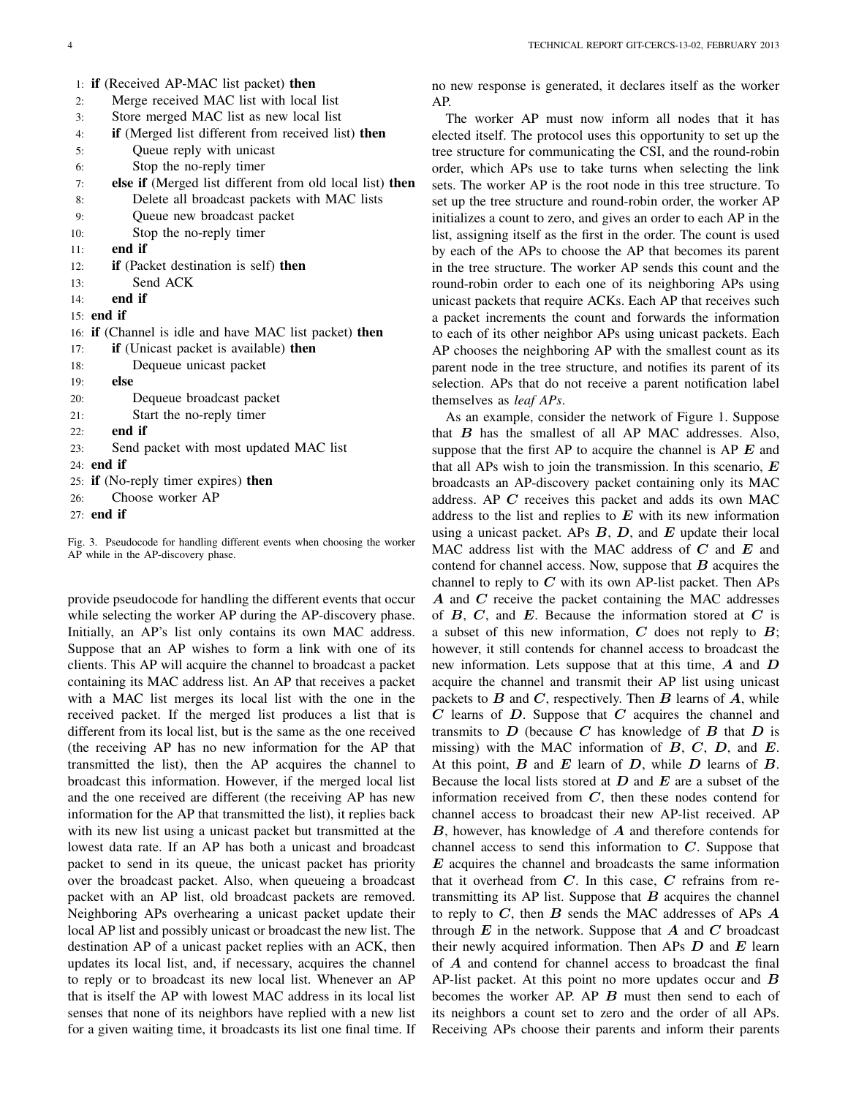|     | 1: if (Received AP-MAC list packet) then                 |
|-----|----------------------------------------------------------|
| 2:  | Merge received MAC list with local list                  |
| 3:  | Store merged MAC list as new local list                  |
| 4:  | if (Merged list different from received list) then       |
| 5:  | Queue reply with unicast                                 |
| 6:  | Stop the no-reply timer                                  |
| 7:  | else if (Merged list different from old local list) then |
| 8:  | Delete all broadcast packets with MAC lists              |
| 9:  | Queue new broadcast packet                               |
| 10: | Stop the no-reply timer                                  |
| 11: | end if                                                   |
| 12: | if (Packet destination is self) then                     |
| 13: | Send ACK                                                 |
| 14: | end if                                                   |
|     | $15:$ end if                                             |
|     | 16: if (Channel is idle and have MAC list packet) then   |
| 17: | if (Unicast packet is available) then                    |
| 18: | Dequeue unicast packet                                   |
| 19: | else                                                     |
| 20: | Dequeue broadcast packet                                 |
| 21: | Start the no-reply timer                                 |
| 22: | end if                                                   |
| 23: | Send packet with most updated MAC list                   |
|     | $24:$ end if                                             |
|     | 25: <b>if</b> (No-reply timer expires) <b>then</b>       |
| 26: | Choose worker AP                                         |
|     | $27:$ end if                                             |

Fig. 3. Pseudocode for handling different events when choosing the worker AP while in the AP-discovery phase.

provide pseudocode for handling the different events that occur while selecting the worker AP during the AP-discovery phase. Initially, an AP's list only contains its own MAC address. Suppose that an AP wishes to form a link with one of its clients. This AP will acquire the channel to broadcast a packet containing its MAC address list. An AP that receives a packet with a MAC list merges its local list with the one in the received packet. If the merged list produces a list that is different from its local list, but is the same as the one received (the receiving AP has no new information for the AP that transmitted the list), then the AP acquires the channel to broadcast this information. However, if the merged local list and the one received are different (the receiving AP has new information for the AP that transmitted the list), it replies back with its new list using a unicast packet but transmitted at the lowest data rate. If an AP has both a unicast and broadcast packet to send in its queue, the unicast packet has priority over the broadcast packet. Also, when queueing a broadcast packet with an AP list, old broadcast packets are removed. Neighboring APs overhearing a unicast packet update their local AP list and possibly unicast or broadcast the new list. The destination AP of a unicast packet replies with an ACK, then updates its local list, and, if necessary, acquires the channel to reply or to broadcast its new local list. Whenever an AP that is itself the AP with lowest MAC address in its local list senses that none of its neighbors have replied with a new list for a given waiting time, it broadcasts its list one final time. If no new response is generated, it declares itself as the worker AP.

The worker AP must now inform all nodes that it has elected itself. The protocol uses this opportunity to set up the tree structure for communicating the CSI, and the round-robin order, which APs use to take turns when selecting the link sets. The worker AP is the root node in this tree structure. To set up the tree structure and round-robin order, the worker AP initializes a count to zero, and gives an order to each AP in the list, assigning itself as the first in the order. The count is used by each of the APs to choose the AP that becomes its parent in the tree structure. The worker AP sends this count and the round-robin order to each one of its neighboring APs using unicast packets that require ACKs. Each AP that receives such a packet increments the count and forwards the information to each of its other neighbor APs using unicast packets. Each AP chooses the neighboring AP with the smallest count as its parent node in the tree structure, and notifies its parent of its selection. APs that do not receive a parent notification label themselves as *leaf APs*.

As an example, consider the network of Figure 1. Suppose that  $B$  has the smallest of all AP MAC addresses. Also, suppose that the first AP to acquire the channel is AP  $E$  and that all APs wish to join the transmission. In this scenario,  $E$ broadcasts an AP-discovery packet containing only its MAC address. AP C receives this packet and adds its own MAC address to the list and replies to  $E$  with its new information using a unicast packet. APs  $B$ ,  $D$ , and  $E$  update their local MAC address list with the MAC address of  $C$  and  $E$  and contend for channel access. Now, suppose that  $B$  acquires the channel to reply to  $C$  with its own AP-list packet. Then APs A and C receive the packet containing the MAC addresses of  $B$ ,  $C$ , and  $E$ . Because the information stored at  $C$  is a subset of this new information,  $C$  does not reply to  $B$ ; however, it still contends for channel access to broadcast the new information. Lets suppose that at this time,  $\vec{A}$  and  $\vec{D}$ acquire the channel and transmit their AP list using unicast packets to  $B$  and  $C$ , respectively. Then  $B$  learns of  $A$ , while  $C$  learns of  $D$ . Suppose that  $C$  acquires the channel and transmits to  $D$  (because  $C$  has knowledge of  $B$  that  $D$  is missing) with the MAC information of  $B, C, D$ , and  $E$ . At this point,  $B$  and  $E$  learn of  $D$ , while  $D$  learns of  $B$ . Because the local lists stored at  $D$  and  $E$  are a subset of the information received from  $C$ , then these nodes contend for channel access to broadcast their new AP-list received. AP  $B$ , however, has knowledge of  $A$  and therefore contends for channel access to send this information to  $C$ . Suppose that  $E$  acquires the channel and broadcasts the same information that it overhead from  $C$ . In this case,  $C$  refrains from retransmitting its AP list. Suppose that  $B$  acquires the channel to reply to  $C$ , then  $B$  sends the MAC addresses of APs  $A$ through  $E$  in the network. Suppose that  $A$  and  $C$  broadcast their newly acquired information. Then APs  $D$  and  $E$  learn of A and contend for channel access to broadcast the final AP-list packet. At this point no more updates occur and  $\boldsymbol{B}$ becomes the worker AP. AP  $B$  must then send to each of its neighbors a count set to zero and the order of all APs. Receiving APs choose their parents and inform their parents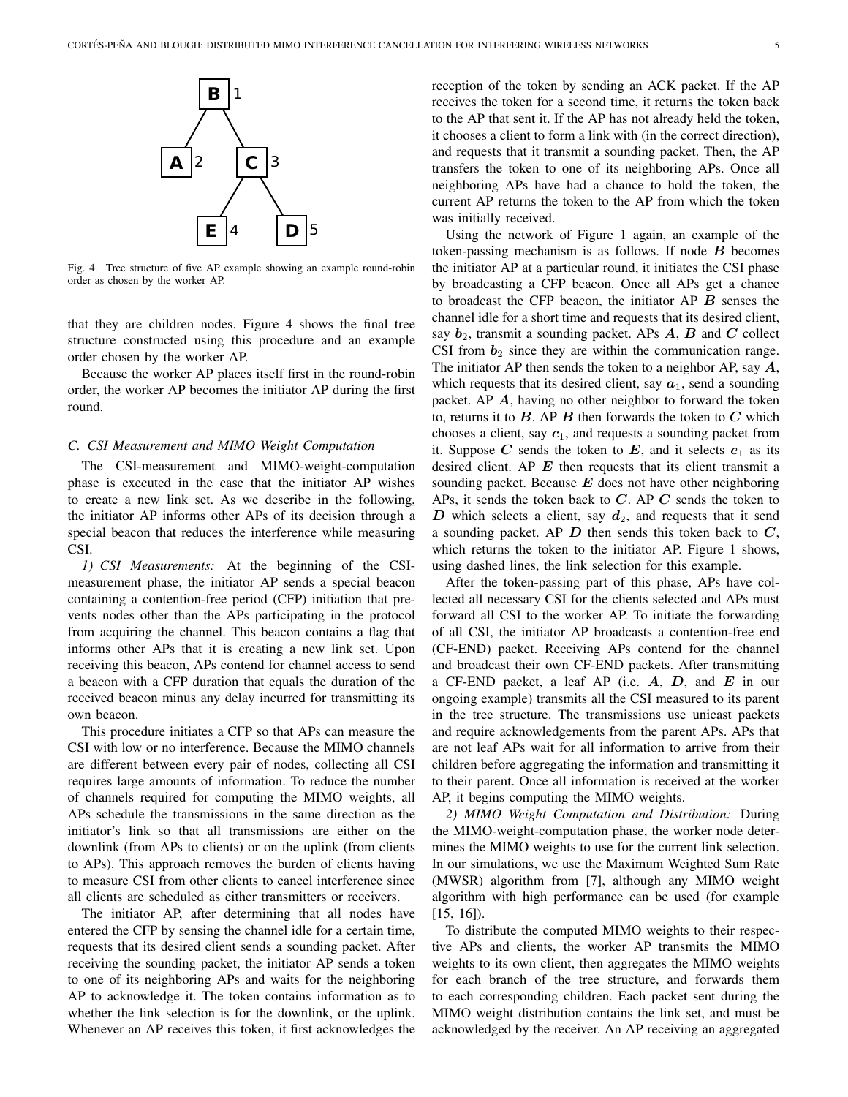

Fig. 4. Tree structure of five AP example showing an example round-robin order as chosen by the worker AP.

that they are children nodes. Figure 4 shows the final tree structure constructed using this procedure and an example order chosen by the worker AP.

Because the worker AP places itself first in the round-robin order, the worker AP becomes the initiator AP during the first round.

## *C. CSI Measurement and MIMO Weight Computation*

The CSI-measurement and MIMO-weight-computation phase is executed in the case that the initiator AP wishes to create a new link set. As we describe in the following, the initiator AP informs other APs of its decision through a special beacon that reduces the interference while measuring CSI.

*1) CSI Measurements:* At the beginning of the CSImeasurement phase, the initiator AP sends a special beacon containing a contention-free period (CFP) initiation that prevents nodes other than the APs participating in the protocol from acquiring the channel. This beacon contains a flag that informs other APs that it is creating a new link set. Upon receiving this beacon, APs contend for channel access to send a beacon with a CFP duration that equals the duration of the received beacon minus any delay incurred for transmitting its own beacon.

This procedure initiates a CFP so that APs can measure the CSI with low or no interference. Because the MIMO channels are different between every pair of nodes, collecting all CSI requires large amounts of information. To reduce the number of channels required for computing the MIMO weights, all APs schedule the transmissions in the same direction as the initiator's link so that all transmissions are either on the downlink (from APs to clients) or on the uplink (from clients to APs). This approach removes the burden of clients having to measure CSI from other clients to cancel interference since all clients are scheduled as either transmitters or receivers.

The initiator AP, after determining that all nodes have entered the CFP by sensing the channel idle for a certain time, requests that its desired client sends a sounding packet. After receiving the sounding packet, the initiator AP sends a token to one of its neighboring APs and waits for the neighboring AP to acknowledge it. The token contains information as to whether the link selection is for the downlink, or the uplink. Whenever an AP receives this token, it first acknowledges the reception of the token by sending an ACK packet. If the AP receives the token for a second time, it returns the token back to the AP that sent it. If the AP has not already held the token, it chooses a client to form a link with (in the correct direction), and requests that it transmit a sounding packet. Then, the AP transfers the token to one of its neighboring APs. Once all neighboring APs have had a chance to hold the token, the current AP returns the token to the AP from which the token was initially received.

Using the network of Figure 1 again, an example of the token-passing mechanism is as follows. If node  $B$  becomes the initiator AP at a particular round, it initiates the CSI phase by broadcasting a CFP beacon. Once all APs get a chance to broadcast the CFP beacon, the initiator AP  $B$  senses the channel idle for a short time and requests that its desired client, say  $b_2$ , transmit a sounding packet. APs  $A$ ,  $B$  and  $C$  collect CSI from  $b_2$  since they are within the communication range. The initiator AP then sends the token to a neighbor AP, say  $A$ , which requests that its desired client, say  $a_1$ , send a sounding packet. AP  $\vec{A}$ , having no other neighbor to forward the token to, returns it to  $B$ . AP  $B$  then forwards the token to  $C$  which chooses a client, say  $c_1$ , and requests a sounding packet from it. Suppose  $C$  sends the token to  $E$ , and it selects  $e_1$  as its desired client. AP  $E$  then requests that its client transmit a sounding packet. Because  $E$  does not have other neighboring APs, it sends the token back to  $C$ . AP  $C$  sends the token to  $D$  which selects a client, say  $d_2$ , and requests that it send a sounding packet. AP  $D$  then sends this token back to  $C$ , which returns the token to the initiator AP. Figure 1 shows, using dashed lines, the link selection for this example.

After the token-passing part of this phase, APs have collected all necessary CSI for the clients selected and APs must forward all CSI to the worker AP. To initiate the forwarding of all CSI, the initiator AP broadcasts a contention-free end (CF-END) packet. Receiving APs contend for the channel and broadcast their own CF-END packets. After transmitting a CF-END packet, a leaf AP (i.e.  $A$ ,  $D$ , and  $E$  in our ongoing example) transmits all the CSI measured to its parent in the tree structure. The transmissions use unicast packets and require acknowledgements from the parent APs. APs that are not leaf APs wait for all information to arrive from their children before aggregating the information and transmitting it to their parent. Once all information is received at the worker AP, it begins computing the MIMO weights.

*2) MIMO Weight Computation and Distribution:* During the MIMO-weight-computation phase, the worker node determines the MIMO weights to use for the current link selection. In our simulations, we use the Maximum Weighted Sum Rate (MWSR) algorithm from [7], although any MIMO weight algorithm with high performance can be used (for example [15, 16]).

To distribute the computed MIMO weights to their respective APs and clients, the worker AP transmits the MIMO weights to its own client, then aggregates the MIMO weights for each branch of the tree structure, and forwards them to each corresponding children. Each packet sent during the MIMO weight distribution contains the link set, and must be acknowledged by the receiver. An AP receiving an aggregated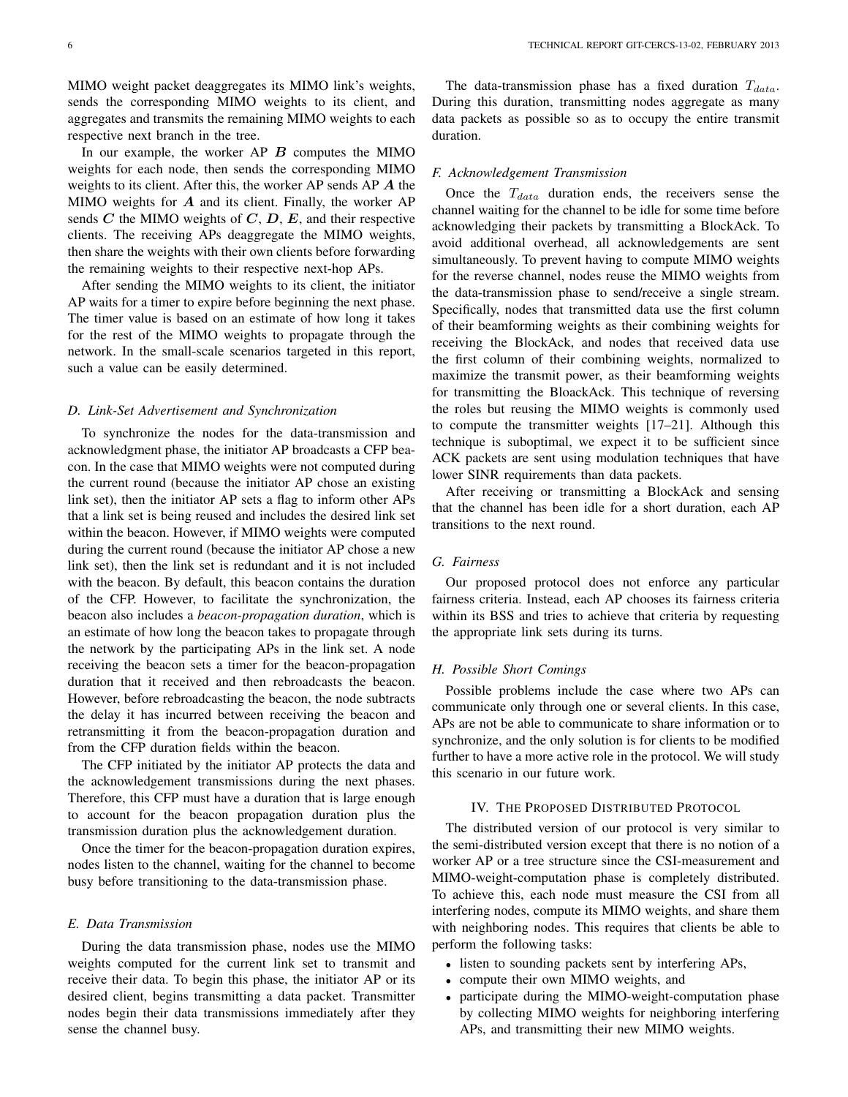MIMO weight packet deaggregates its MIMO link's weights, sends the corresponding MIMO weights to its client, and aggregates and transmits the remaining MIMO weights to each respective next branch in the tree.

In our example, the worker  $AP$   $B$  computes the MIMO weights for each node, then sends the corresponding MIMO weights to its client. After this, the worker AP sends AP A the MIMO weights for  $A$  and its client. Finally, the worker AP sends  $C$  the MIMO weights of  $C$ ,  $D$ ,  $E$ , and their respective clients. The receiving APs deaggregate the MIMO weights, then share the weights with their own clients before forwarding the remaining weights to their respective next-hop APs.

After sending the MIMO weights to its client, the initiator AP waits for a timer to expire before beginning the next phase. The timer value is based on an estimate of how long it takes for the rest of the MIMO weights to propagate through the network. In the small-scale scenarios targeted in this report, such a value can be easily determined.

## *D. Link-Set Advertisement and Synchronization*

To synchronize the nodes for the data-transmission and acknowledgment phase, the initiator AP broadcasts a CFP beacon. In the case that MIMO weights were not computed during the current round (because the initiator AP chose an existing link set), then the initiator AP sets a flag to inform other APs that a link set is being reused and includes the desired link set within the beacon. However, if MIMO weights were computed during the current round (because the initiator AP chose a new link set), then the link set is redundant and it is not included with the beacon. By default, this beacon contains the duration of the CFP. However, to facilitate the synchronization, the beacon also includes a *beacon-propagation duration*, which is an estimate of how long the beacon takes to propagate through the network by the participating APs in the link set. A node receiving the beacon sets a timer for the beacon-propagation duration that it received and then rebroadcasts the beacon. However, before rebroadcasting the beacon, the node subtracts the delay it has incurred between receiving the beacon and retransmitting it from the beacon-propagation duration and from the CFP duration fields within the beacon.

The CFP initiated by the initiator AP protects the data and the acknowledgement transmissions during the next phases. Therefore, this CFP must have a duration that is large enough to account for the beacon propagation duration plus the transmission duration plus the acknowledgement duration.

Once the timer for the beacon-propagation duration expires, nodes listen to the channel, waiting for the channel to become busy before transitioning to the data-transmission phase.

#### *E. Data Transmission*

During the data transmission phase, nodes use the MIMO weights computed for the current link set to transmit and receive their data. To begin this phase, the initiator AP or its desired client, begins transmitting a data packet. Transmitter nodes begin their data transmissions immediately after they sense the channel busy.

The data-transmission phase has a fixed duration  $T_{data}$ . During this duration, transmitting nodes aggregate as many data packets as possible so as to occupy the entire transmit duration.

#### *F. Acknowledgement Transmission*

Once the  $T_{data}$  duration ends, the receivers sense the channel waiting for the channel to be idle for some time before acknowledging their packets by transmitting a BlockAck. To avoid additional overhead, all acknowledgements are sent simultaneously. To prevent having to compute MIMO weights for the reverse channel, nodes reuse the MIMO weights from the data-transmission phase to send/receive a single stream. Specifically, nodes that transmitted data use the first column of their beamforming weights as their combining weights for receiving the BlockAck, and nodes that received data use the first column of their combining weights, normalized to maximize the transmit power, as their beamforming weights for transmitting the BloackAck. This technique of reversing the roles but reusing the MIMO weights is commonly used to compute the transmitter weights [17–21]. Although this technique is suboptimal, we expect it to be sufficient since ACK packets are sent using modulation techniques that have lower SINR requirements than data packets.

After receiving or transmitting a BlockAck and sensing that the channel has been idle for a short duration, each AP transitions to the next round.

# *G. Fairness*

Our proposed protocol does not enforce any particular fairness criteria. Instead, each AP chooses its fairness criteria within its BSS and tries to achieve that criteria by requesting the appropriate link sets during its turns.

# *H. Possible Short Comings*

Possible problems include the case where two APs can communicate only through one or several clients. In this case, APs are not be able to communicate to share information or to synchronize, and the only solution is for clients to be modified further to have a more active role in the protocol. We will study this scenario in our future work.

## IV. THE PROPOSED DISTRIBUTED PROTOCOL

The distributed version of our protocol is very similar to the semi-distributed version except that there is no notion of a worker AP or a tree structure since the CSI-measurement and MIMO-weight-computation phase is completely distributed. To achieve this, each node must measure the CSI from all interfering nodes, compute its MIMO weights, and share them with neighboring nodes. This requires that clients be able to perform the following tasks:

- listen to sounding packets sent by interfering APs,
- compute their own MIMO weights, and
- participate during the MIMO-weight-computation phase by collecting MIMO weights for neighboring interfering APs, and transmitting their new MIMO weights.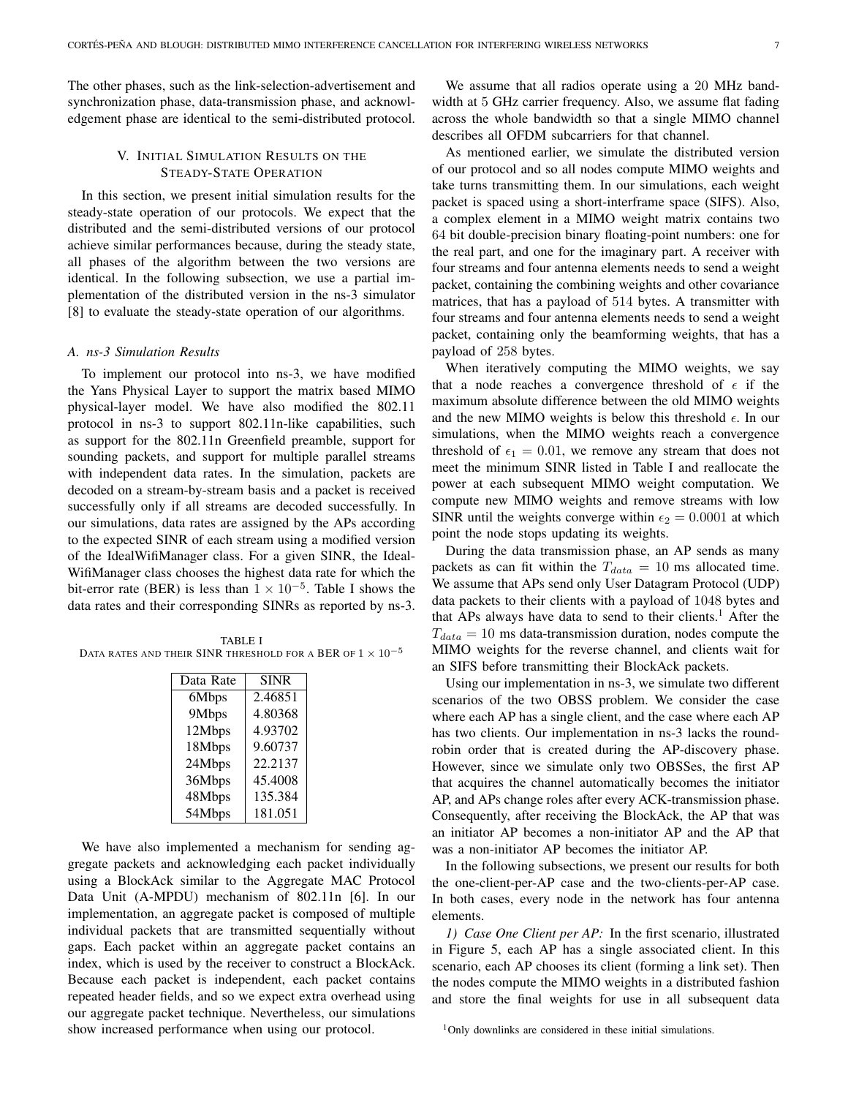The other phases, such as the link-selection-advertisement and synchronization phase, data-transmission phase, and acknowledgement phase are identical to the semi-distributed protocol.

# V. INITIAL SIMULATION RESULTS ON THE STEADY-STATE OPERATION

In this section, we present initial simulation results for the steady-state operation of our protocols. We expect that the distributed and the semi-distributed versions of our protocol achieve similar performances because, during the steady state, all phases of the algorithm between the two versions are identical. In the following subsection, we use a partial implementation of the distributed version in the ns-3 simulator [8] to evaluate the steady-state operation of our algorithms.

## *A. ns-3 Simulation Results*

To implement our protocol into ns-3, we have modified the Yans Physical Layer to support the matrix based MIMO physical-layer model. We have also modified the 802.11 protocol in ns-3 to support 802.11n-like capabilities, such as support for the 802.11n Greenfield preamble, support for sounding packets, and support for multiple parallel streams with independent data rates. In the simulation, packets are decoded on a stream-by-stream basis and a packet is received successfully only if all streams are decoded successfully. In our simulations, data rates are assigned by the APs according to the expected SINR of each stream using a modified version of the IdealWifiManager class. For a given SINR, the Ideal-WifiManager class chooses the highest data rate for which the bit-error rate (BER) is less than  $1 \times 10^{-5}$ . Table I shows the data rates and their corresponding SINRs as reported by ns-3.

TABLE I DATA RATES AND THEIR SINR THRESHOLD FOR A BER OF  $1 \times 10^{-5}$ 

| Data Rate | SINR    |
|-----------|---------|
| 6Mbps     | 2.46851 |
| 9Mbps     | 4.80368 |
| 12Mbps    | 4.93702 |
| 18Mbps    | 9.60737 |
| 24Mbps    | 22.2137 |
| 36Mbps    | 45.4008 |
| 48Mbps    | 135.384 |
| 54Mbps    | 181.051 |

We have also implemented a mechanism for sending aggregate packets and acknowledging each packet individually using a BlockAck similar to the Aggregate MAC Protocol Data Unit (A-MPDU) mechanism of 802.11n [6]. In our implementation, an aggregate packet is composed of multiple individual packets that are transmitted sequentially without gaps. Each packet within an aggregate packet contains an index, which is used by the receiver to construct a BlockAck. Because each packet is independent, each packet contains repeated header fields, and so we expect extra overhead using our aggregate packet technique. Nevertheless, our simulations show increased performance when using our protocol.

We assume that all radios operate using a 20 MHz bandwidth at 5 GHz carrier frequency. Also, we assume flat fading across the whole bandwidth so that a single MIMO channel describes all OFDM subcarriers for that channel.

As mentioned earlier, we simulate the distributed version of our protocol and so all nodes compute MIMO weights and take turns transmitting them. In our simulations, each weight packet is spaced using a short-interframe space (SIFS). Also, a complex element in a MIMO weight matrix contains two 64 bit double-precision binary floating-point numbers: one for the real part, and one for the imaginary part. A receiver with four streams and four antenna elements needs to send a weight packet, containing the combining weights and other covariance matrices, that has a payload of 514 bytes. A transmitter with four streams and four antenna elements needs to send a weight packet, containing only the beamforming weights, that has a payload of 258 bytes.

When iteratively computing the MIMO weights, we say that a node reaches a convergence threshold of  $\epsilon$  if the maximum absolute difference between the old MIMO weights and the new MIMO weights is below this threshold  $\epsilon$ . In our simulations, when the MIMO weights reach a convergence threshold of  $\epsilon_1 = 0.01$ , we remove any stream that does not meet the minimum SINR listed in Table I and reallocate the power at each subsequent MIMO weight computation. We compute new MIMO weights and remove streams with low SINR until the weights converge within  $\epsilon_2 = 0.0001$  at which point the node stops updating its weights.

During the data transmission phase, an AP sends as many packets as can fit within the  $T_{data} = 10$  ms allocated time. We assume that APs send only User Datagram Protocol (UDP) data packets to their clients with a payload of 1048 bytes and that APs always have data to send to their clients.<sup>1</sup> After the  $T_{data} = 10$  ms data-transmission duration, nodes compute the MIMO weights for the reverse channel, and clients wait for an SIFS before transmitting their BlockAck packets.

Using our implementation in ns-3, we simulate two different scenarios of the two OBSS problem. We consider the case where each AP has a single client, and the case where each AP has two clients. Our implementation in ns-3 lacks the roundrobin order that is created during the AP-discovery phase. However, since we simulate only two OBSSes, the first AP that acquires the channel automatically becomes the initiator AP, and APs change roles after every ACK-transmission phase. Consequently, after receiving the BlockAck, the AP that was an initiator AP becomes a non-initiator AP and the AP that was a non-initiator AP becomes the initiator AP.

In the following subsections, we present our results for both the one-client-per-AP case and the two-clients-per-AP case. In both cases, every node in the network has four antenna elements.

*1) Case One Client per AP:* In the first scenario, illustrated in Figure 5, each AP has a single associated client. In this scenario, each AP chooses its client (forming a link set). Then the nodes compute the MIMO weights in a distributed fashion and store the final weights for use in all subsequent data

<sup>1</sup>Only downlinks are considered in these initial simulations.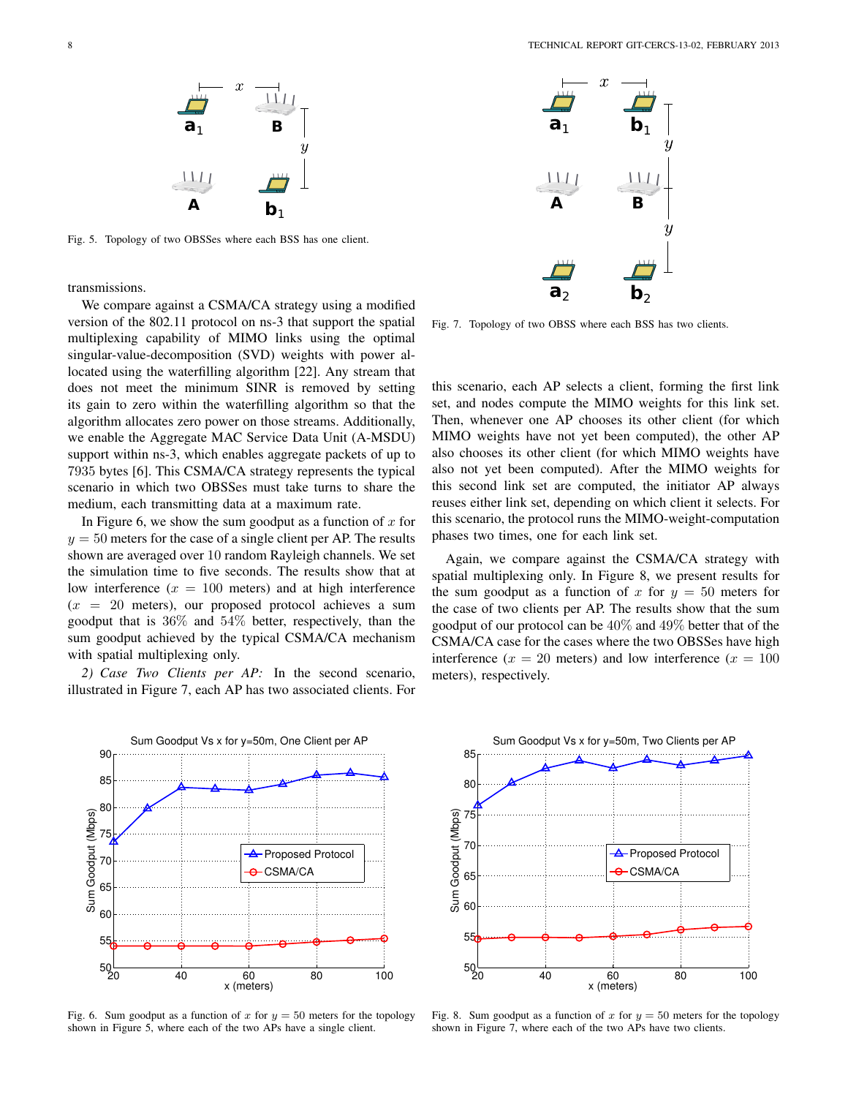

Fig. 5. Topology of two OBSSes where each BSS has one client.

transmissions.

We compare against a CSMA/CA strategy using a modified version of the 802.11 protocol on ns-3 that support the spatial multiplexing capability of MIMO links using the optimal singular-value-decomposition (SVD) weights with power allocated using the waterfilling algorithm [22]. Any stream that does not meet the minimum SINR is removed by setting its gain to zero within the waterfilling algorithm so that the algorithm allocates zero power on those streams. Additionally, we enable the Aggregate MAC Service Data Unit (A-MSDU) support within ns-3, which enables aggregate packets of up to 7935 bytes [6]. This CSMA/CA strategy represents the typical scenario in which two OBSSes must take turns to share the medium, each transmitting data at a maximum rate.

In Figure 6, we show the sum goodput as a function of  $x$  for  $y = 50$  meters for the case of a single client per AP. The results shown are averaged over 10 random Rayleigh channels. We set the simulation time to five seconds. The results show that at low interference  $(x = 100$  meters) and at high interference  $(x = 20$  meters), our proposed protocol achieves a sum goodput that is 36% and 54% better, respectively, than the sum goodput achieved by the typical CSMA/CA mechanism with spatial multiplexing only.

*2) Case Two Clients per AP:* In the second scenario, illustrated in Figure 7, each AP has two associated clients. For



Fig. 6. Sum goodput as a function of x for  $y = 50$  meters for the topology shown in Figure 5, where each of the two APs have a single client.



Fig. 7. Topology of two OBSS where each BSS has two clients.

this scenario, each AP selects a client, forming the first link set, and nodes compute the MIMO weights for this link set. Then, whenever one AP chooses its other client (for which MIMO weights have not yet been computed), the other AP also chooses its other client (for which MIMO weights have also not yet been computed). After the MIMO weights for this second link set are computed, the initiator AP always reuses either link set, depending on which client it selects. For this scenario, the protocol runs the MIMO-weight-computation phases two times, one for each link set.

Again, we compare against the CSMA/CA strategy with spatial multiplexing only. In Figure 8, we present results for the sum goodput as a function of x for  $y = 50$  meters for the case of two clients per AP. The results show that the sum goodput of our protocol can be 40% and 49% better that of the CSMA/CA case for the cases where the two OBSSes have high interference ( $x = 20$  meters) and low interference ( $x = 100$ meters), respectively.



Fig. 8. Sum goodput as a function of x for  $y = 50$  meters for the topology shown in Figure 7, where each of the two APs have two clients.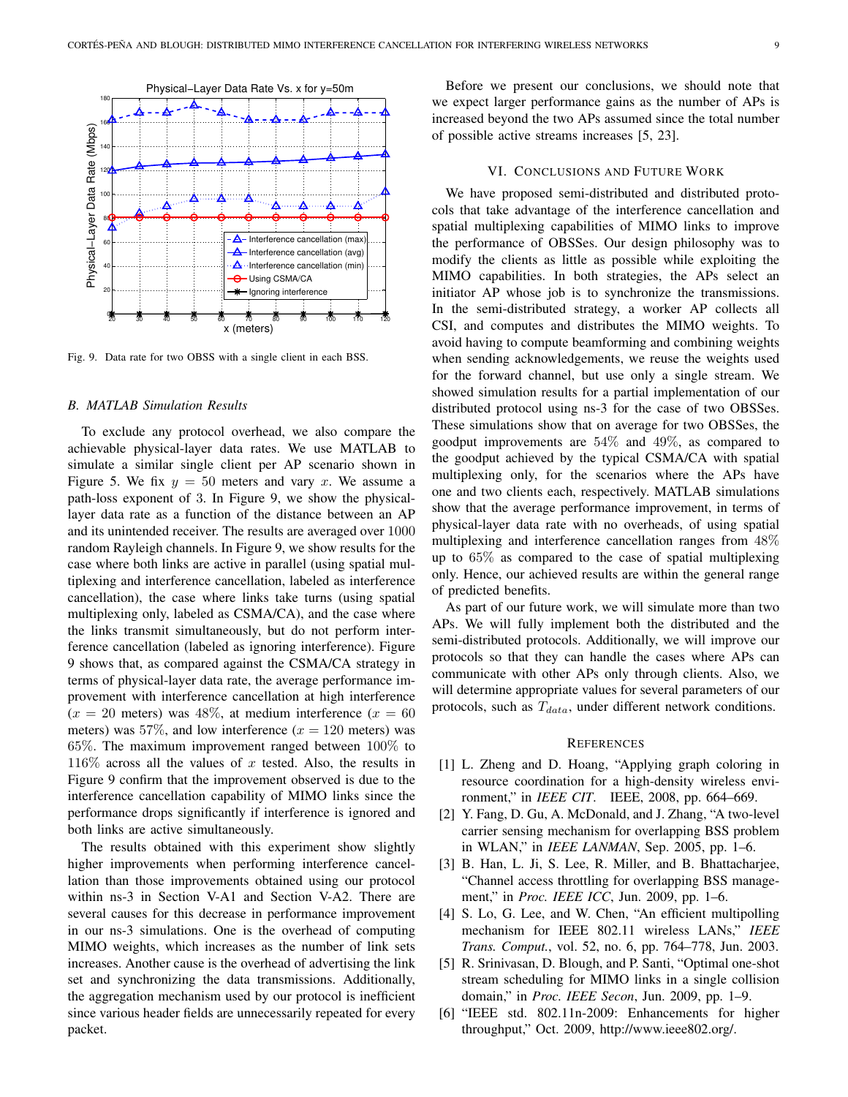

Fig. 9. Data rate for two OBSS with a single client in each BSS.

## *B. MATLAB Simulation Results*

To exclude any protocol overhead, we also compare the achievable physical-layer data rates. We use MATLAB to simulate a similar single client per AP scenario shown in Figure 5. We fix  $y = 50$  meters and vary x. We assume a path-loss exponent of 3. In Figure 9, we show the physicallayer data rate as a function of the distance between an AP and its unintended receiver. The results are averaged over 1000 random Rayleigh channels. In Figure 9, we show results for the case where both links are active in parallel (using spatial multiplexing and interference cancellation, labeled as interference cancellation), the case where links take turns (using spatial multiplexing only, labeled as CSMA/CA), and the case where the links transmit simultaneously, but do not perform interference cancellation (labeled as ignoring interference). Figure 9 shows that, as compared against the CSMA/CA strategy in terms of physical-layer data rate, the average performance improvement with interference cancellation at high interference  $(x = 20 \text{ meters})$  was 48%, at medium interference  $(x = 60 \text{ m}$ meters) was 57%, and low interference  $(x = 120$  meters) was 65%. The maximum improvement ranged between 100% to  $116\%$  across all the values of x tested. Also, the results in Figure 9 confirm that the improvement observed is due to the interference cancellation capability of MIMO links since the performance drops significantly if interference is ignored and both links are active simultaneously.

The results obtained with this experiment show slightly higher improvements when performing interference cancellation than those improvements obtained using our protocol within ns-3 in Section V-A1 and Section V-A2. There are several causes for this decrease in performance improvement in our ns-3 simulations. One is the overhead of computing MIMO weights, which increases as the number of link sets increases. Another cause is the overhead of advertising the link set and synchronizing the data transmissions. Additionally, the aggregation mechanism used by our protocol is inefficient since various header fields are unnecessarily repeated for every packet.

Before we present our conclusions, we should note that we expect larger performance gains as the number of APs is increased beyond the two APs assumed since the total number of possible active streams increases [5, 23].

# VI. CONCLUSIONS AND FUTURE WORK

We have proposed semi-distributed and distributed protocols that take advantage of the interference cancellation and spatial multiplexing capabilities of MIMO links to improve the performance of OBSSes. Our design philosophy was to modify the clients as little as possible while exploiting the MIMO capabilities. In both strategies, the APs select an initiator AP whose job is to synchronize the transmissions. In the semi-distributed strategy, a worker AP collects all CSI, and computes and distributes the MIMO weights. To avoid having to compute beamforming and combining weights when sending acknowledgements, we reuse the weights used for the forward channel, but use only a single stream. We showed simulation results for a partial implementation of our distributed protocol using ns-3 for the case of two OBSSes. These simulations show that on average for two OBSSes, the goodput improvements are 54% and 49%, as compared to the goodput achieved by the typical CSMA/CA with spatial multiplexing only, for the scenarios where the APs have one and two clients each, respectively. MATLAB simulations show that the average performance improvement, in terms of physical-layer data rate with no overheads, of using spatial multiplexing and interference cancellation ranges from 48% up to 65% as compared to the case of spatial multiplexing only. Hence, our achieved results are within the general range of predicted benefits.

As part of our future work, we will simulate more than two APs. We will fully implement both the distributed and the semi-distributed protocols. Additionally, we will improve our protocols so that they can handle the cases where APs can communicate with other APs only through clients. Also, we will determine appropriate values for several parameters of our protocols, such as  $T_{data}$ , under different network conditions.

#### **REFERENCES**

- [1] L. Zheng and D. Hoang, "Applying graph coloring in resource coordination for a high-density wireless environment," in *IEEE CIT*. IEEE, 2008, pp. 664–669.
- [2] Y. Fang, D. Gu, A. McDonald, and J. Zhang, "A two-level carrier sensing mechanism for overlapping BSS problem in WLAN," in *IEEE LANMAN*, Sep. 2005, pp. 1–6.
- [3] B. Han, L. Ji, S. Lee, R. Miller, and B. Bhattacharjee, "Channel access throttling for overlapping BSS management," in *Proc. IEEE ICC*, Jun. 2009, pp. 1–6.
- [4] S. Lo, G. Lee, and W. Chen, "An efficient multipolling mechanism for IEEE 802.11 wireless LANs," *IEEE Trans. Comput.*, vol. 52, no. 6, pp. 764–778, Jun. 2003.
- [5] R. Srinivasan, D. Blough, and P. Santi, "Optimal one-shot stream scheduling for MIMO links in a single collision domain," in *Proc. IEEE Secon*, Jun. 2009, pp. 1–9.
- [6] "IEEE std. 802.11n-2009: Enhancements for higher throughput," Oct. 2009, http://www.ieee802.org/.